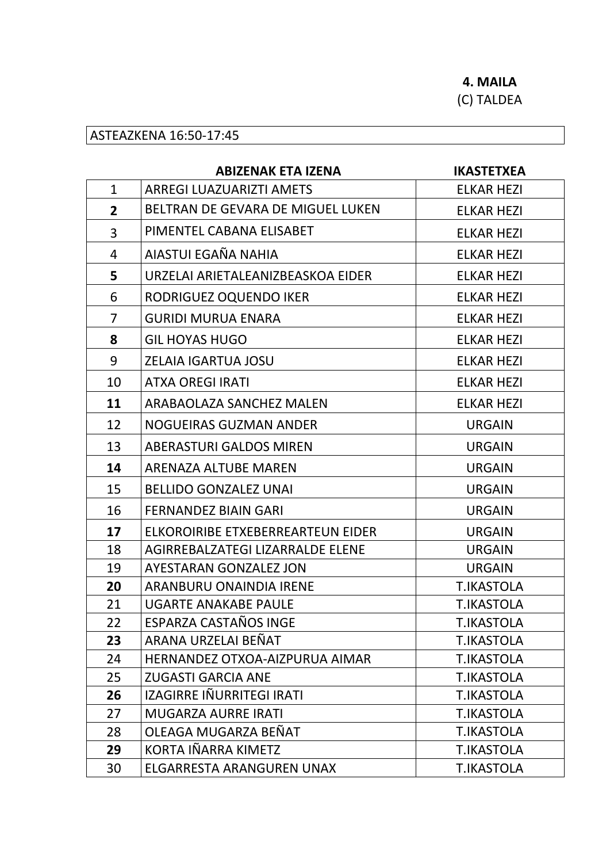4. MAILA

(C) TALDEA

## ASTEAZKENA 16:50-17:45

|                | <b>ABIZENAK ETA IZENA</b>         | <b>IKASTETXEA</b> |
|----------------|-----------------------------------|-------------------|
| $\mathbf{1}$   | <b>ARREGI LUAZUARIZTI AMETS</b>   | <b>ELKAR HEZI</b> |
| $\overline{2}$ | BELTRAN DE GEVARA DE MIGUEL LUKEN | <b>ELKAR HEZI</b> |
| 3              | PIMENTEL CABANA ELISABET          | <b>ELKAR HEZI</b> |
| 4              | AIASTUI EGAÑA NAHIA               | <b>ELKAR HEZI</b> |
| 5              | URZELAI ARIETALEANIZBEASKOA EIDER | <b>ELKAR HEZI</b> |
| 6              | RODRIGUEZ OQUENDO IKER            | <b>ELKAR HEZI</b> |
| $\overline{7}$ | <b>GURIDI MURUA ENARA</b>         | <b>ELKAR HEZI</b> |
| 8              | <b>GIL HOYAS HUGO</b>             | <b>ELKAR HEZI</b> |
| 9              | <b>ZELAIA IGARTUA JOSU</b>        | <b>ELKAR HEZI</b> |
| 10             | <b>ATXA OREGI IRATI</b>           | <b>ELKAR HEZI</b> |
| 11             | ARABAOLAZA SANCHEZ MALEN          | <b>ELKAR HEZI</b> |
| 12             | <b>NOGUEIRAS GUZMAN ANDER</b>     | <b>URGAIN</b>     |
| 13             | <b>ABERASTURI GALDOS MIREN</b>    | <b>URGAIN</b>     |
| 14             | <b>ARENAZA ALTUBE MAREN</b>       | <b>URGAIN</b>     |
| 15             | <b>BELLIDO GONZALEZ UNAI</b>      | <b>URGAIN</b>     |
| 16             | <b>FERNANDEZ BIAIN GARI</b>       | <b>URGAIN</b>     |
| 17             | ELKOROIRIBE ETXEBERREARTEUN EIDER | <b>URGAIN</b>     |
| 18             | AGIRREBALZATEGI LIZARRALDE ELENE  | <b>URGAIN</b>     |
| 19             | <b>AYESTARAN GONZALEZ JON</b>     | <b>URGAIN</b>     |
| 20             | ARANBURU ONAINDIA IRENE           | <b>T.IKASTOLA</b> |
| 21             | <b>UGARTE ANAKABE PAULE</b>       | <b>T.IKASTOLA</b> |
| 22             | ESPARZA CASTAÑOS INGE             | T.IKASTOLA        |
| 23             | ARANA URZELAI BEÑAT               | <b>T.IKASTOLA</b> |
| 24             | HERNANDEZ OTXOA-AIZPURUA AIMAR    | <b>T.IKASTOLA</b> |
| 25             | <b>ZUGASTI GARCIA ANE</b>         | <b>T.IKASTOLA</b> |
| 26             | IZAGIRRE IÑURRITEGI IRATI         | <b>T.IKASTOLA</b> |
| 27             | MUGARZA AURRE IRATI               | <b>T.IKASTOLA</b> |
| 28             | OLEAGA MUGARZA BEÑAT              | <b>T.IKASTOLA</b> |
| 29             | KORTA IÑARRA KIMETZ               | <b>T.IKASTOLA</b> |
| 30             | ELGARRESTA ARANGUREN UNAX         | <b>T.IKASTOLA</b> |